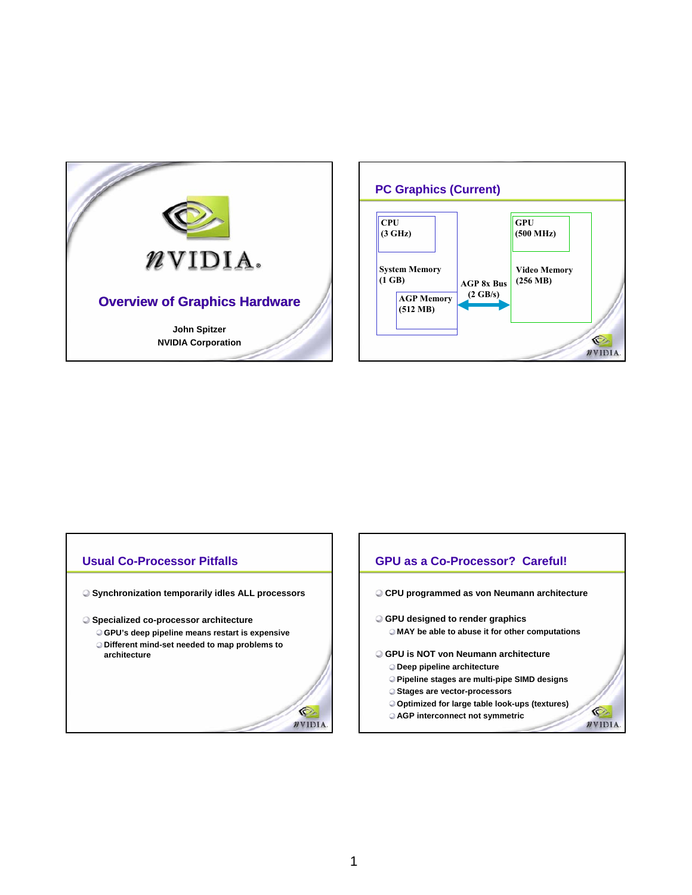



### **Usual Co-Processor Pitfalls**

- **Synchronization temporarily idles ALL processors**
- **Specialized co-processor architecture**
	- **GPU's deep pipeline means restart is expensive Different mind-set needed to map problems to architecture**



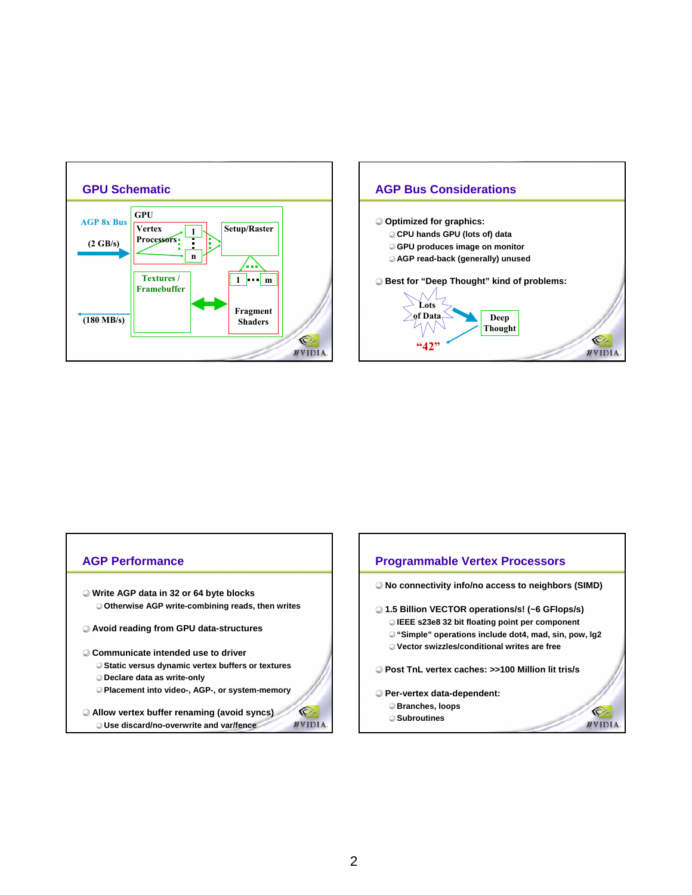



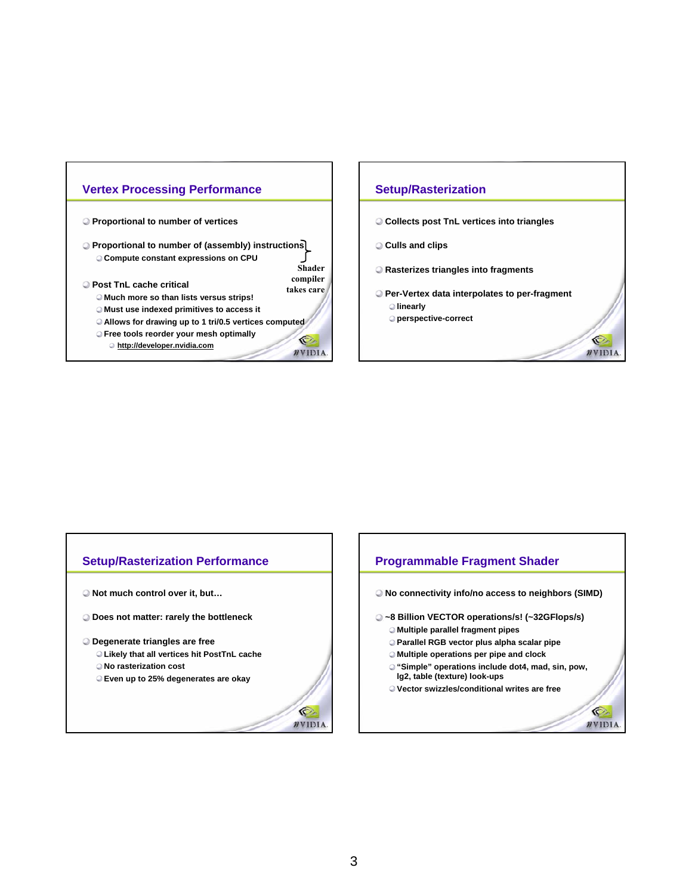

### **Setup/Rasterization**

- **Collects post TnL vertices into triangles**
- **Culls and clips**
- **Rasterizes triangles into fragments**
- **Per-Vertex data interpolates to per-fragment linearly**

Ó

WVIDIA

**perspective-correct**

### **Setup/Rasterization Performance**

- **Not much control over it, but…**
- **Does not matter: rarely the bottleneck**

#### **Degenerate triangles are free**

- **Likely that all vertices hit PostTnL cache**
- **No rasterization cost**
- **Even up to 25% degenerates are okay**



G

 $\n *n*$ VIDIA.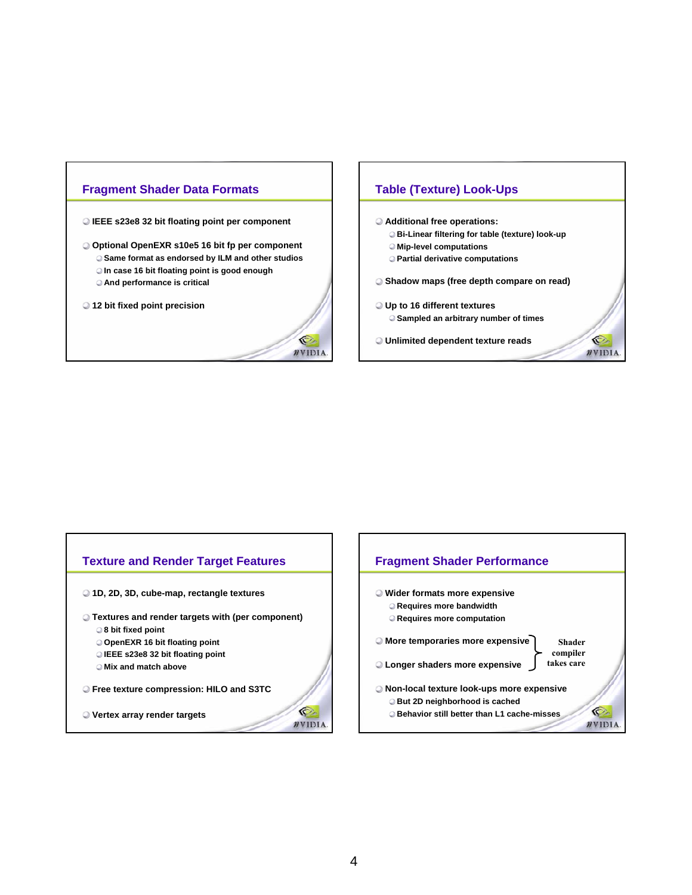

- **IEEE s23e8 32 bit floating point per component**
- **Optional OpenEXR s10e5 16 bit fp per component Same format as endorsed by ILM and other studios**
	- **In case 16 bit floating point is good enough**
	- **And performance is critical**
- **12 bit fixed point precision**



### **Table (Texture) Look-Ups**

- **Additional free operations:**
	- **Bi-Linear filtering for table (texture) look-up**
	- **Mip-level computations**
	- **Partial derivative computations**
- **Shadow maps (free depth compare on read)**

O

 $\n *n*$ VIDIA

- **Up to 16 different textures Sampled an arbitrary number of times**
- **Unlimited dependent texture reads**

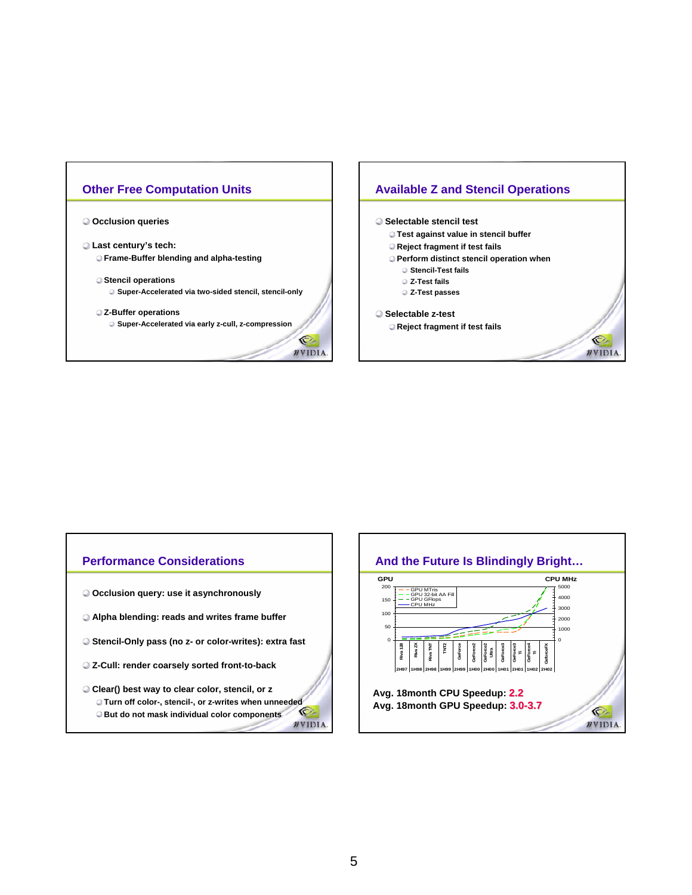



- **Last century's tech: Frame-Buffer blending and alpha-testing**
	- **Stencil operations Super-Accelerated via two-sided stencil, stencil-only**
	- **Z-Buffer operations Super-Accelerated via early z-cull, z-compression**

O.

WVIDIA.





- **Test against value in stencil buffer**
- **Reject fragment if test fails**
- **Perform distinct stencil operation when**

Ó

WVIDIA

- **Stencil-Test fails**
- **Z-Test fails**
- **Z-Test passes**
- **Selectable z-test Reject fragment if test fails**

# **Performance Considerations**

- **Occlusion query: use it asynchronously**
- **Alpha blending: reads and writes frame buffer**
- **Stencil-Only pass (no z- or color-writes): extra fast**
- **Z-Cull: render coarsely sorted front-to-back**
- **Clear() best way to clear color, stencil, or z Turn off color-, stencil-, or z-writes when unneeded** C **But do not mask individual color components**  $\n *n*$  VIDIA.

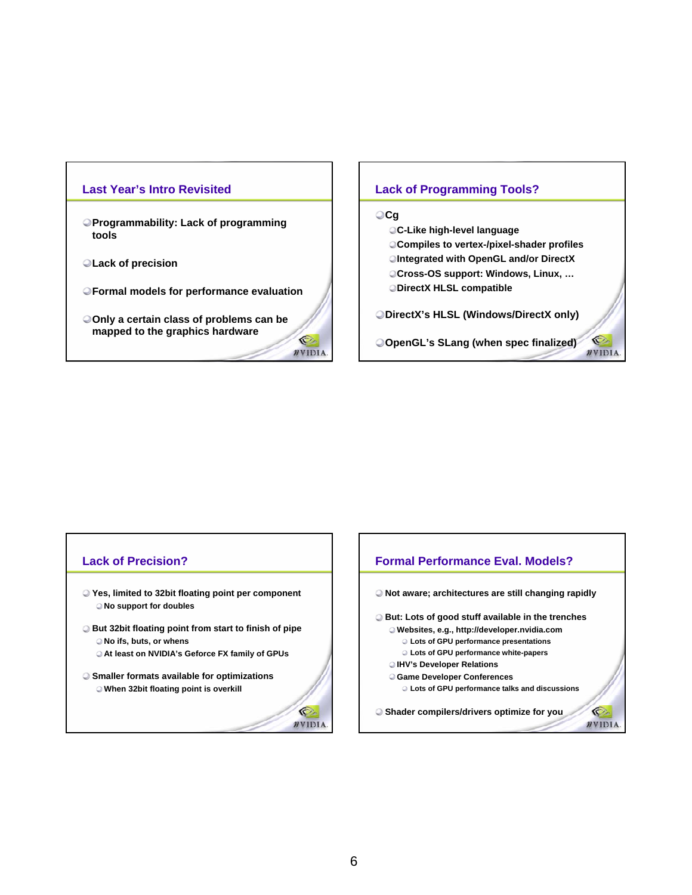### **Last Year's Intro Revisited**

- **Programmability: Lack of programming tools**
- **Lack of precision**
- **Formal models for performance evaluation**
- **Only a certain class of problems can be mapped to the graphics hardware** O.

### **Lack of Programming Tools?**

### **Cg**

- **C-Like high-level language**
- **Compiles to vertex-/pixel-shader profiles**
- **Integrated with OpenGL and/or DirectX**
- **Cross-OS support: Windows, Linux, …**
- **DirectX HLSL compatible**

**DirectX's HLSL (Windows/DirectX only)**

**OpenGL's SLang (when spec finalized)**

O

WVIDIA.

 $\bullet$ **NVIDIA** 

#### **Lack of Precision? Formal Performance Eval. Models? Yes, limited to 32bit floating point per component Not aware; architectures are still changing rapidly No support for doubles But: Lots of good stuff available in the trenches But 32bit floating point from start to finish of pipe Websites, e.g., http://developer.nvidia.com No ifs, buts, or whens Lots of GPU performance presentations At least on NVIDIA's Geforce FX family of GPUs Lots of GPU performance white-papers IHV's Developer Relations Smaller formats available for optimizations Game Developer Conferences Lots of GPU performance talks and discussions When 32bit floating point is overkill** C. **Shader compilers/drivers optimize for you** $\n *n*$ VIDIA.

WVIDIA.

### 6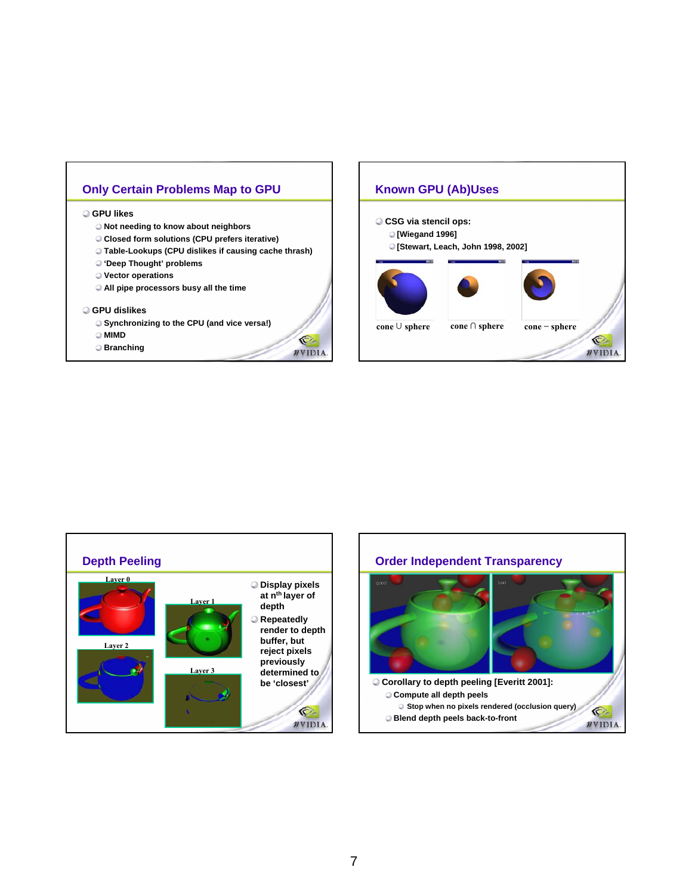### **Only Certain Problems Map to GPU | Known GPU (Ab)Uses**

### **GPU likes**

- **Not needing to know about neighbors**
- **Closed form solutions (CPU prefers iterative)**
- **Table-Lookups (CPU dislikes if causing cache thrash)**
- **'Deep Thought' problems**
- **Vector operations**
- **All pipe processors busy all the time**

#### **GPU dislikes**

- **Synchronizing to the CPU (and vice versa!)**
- **MIMD**
- **Branching**







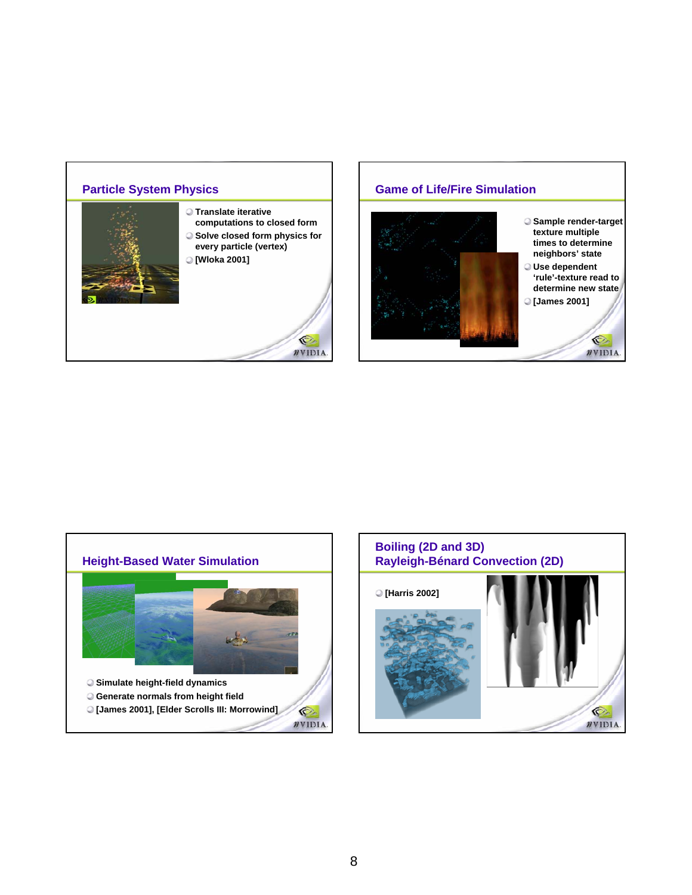

### **Game of Life/Fire Simulation Sample render-target texture multiple times to determine neighbors' state Use dependent 'rule'-texture read to determine new state**





**[James 2001]**  O  $\n *n*$ VIDIA.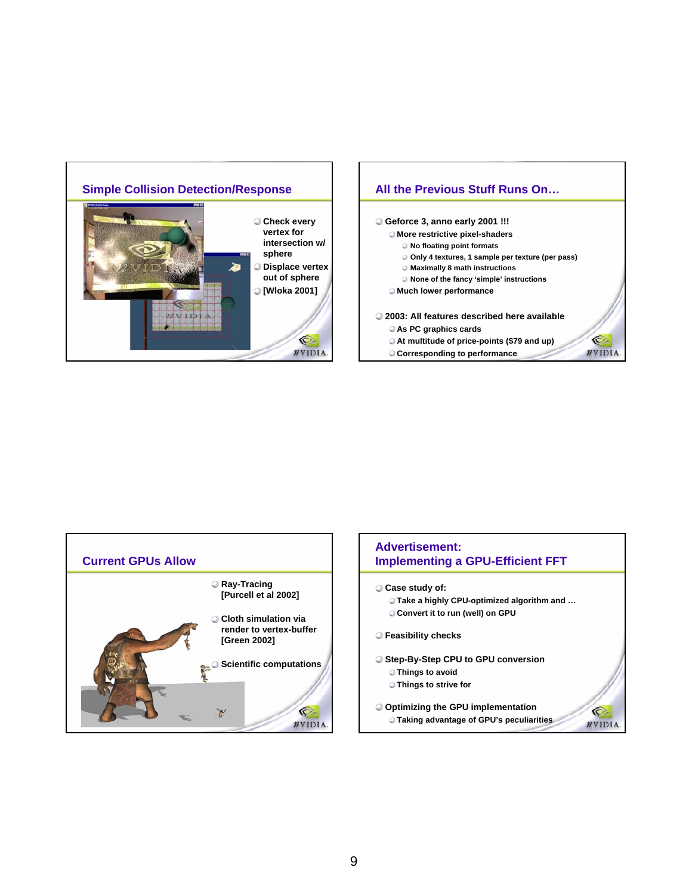